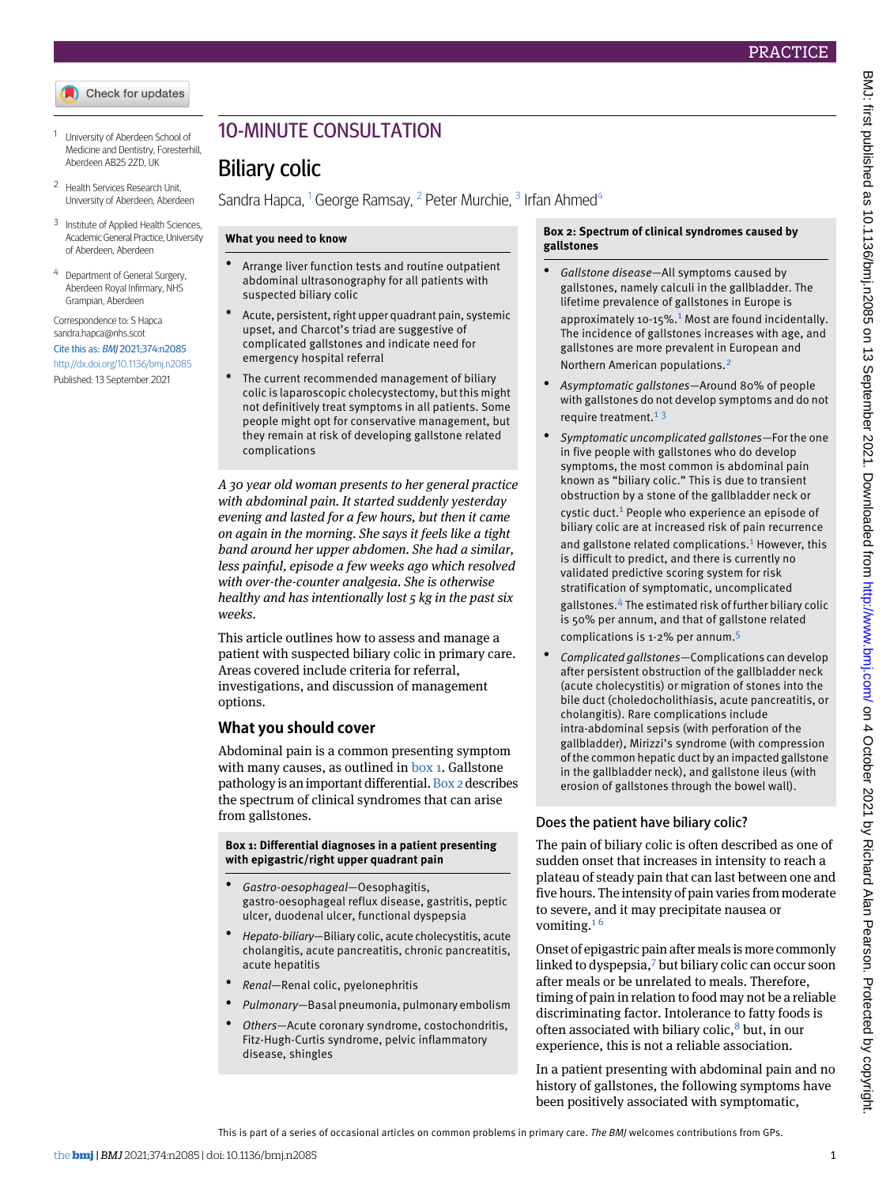- <span id="page-0-1"></span><span id="page-0-0"></span><sup>1</sup> University of Aberdeen School of Medicine and Dentistry, Foresterhill, Aberdeen AB25 2ZD, UK
- <span id="page-0-2"></span><sup>2</sup> Health Services Research Unit, University of Aberdeen, Aberdeen
- <span id="page-0-3"></span><sup>3</sup> Institute of Applied Health Sciences, Academic General Practice, University of Aberdeen, Aberdeen
- <sup>4</sup> Department of General Surgery, Aberdeen Royal Infirmary, NHS Grampian, Aberdeen

Correspondence to: S Hapca sandra.hapca@nhs.scot Cite this as: BMJ 2021;374:n2085 <http://dx.doi.org/10.1136/bmj.n2085> Published: 13 September 2021

# 10-MINUTE CONSULTATION

# Biliary colic

Sandra Hapca, <sup>[1](#page-0-0)</sup> George Ramsay, <sup>[2](#page-0-1)</sup> Peter Murchie, <sup>[3](#page-0-2)</sup> Irfan Ahmed<sup>[4](#page-0-3)</sup>

### **What you need to know**

- Arrange liver function tests and routine outpatient abdominal ultrasonography for all patients with suspected biliary colic
- Acute, persistent, right upper quadrant pain, systemic upset, and Charcot's triad are suggestive of complicated gallstones and indicate need for emergency hospital referral
- The current recommended management of biliary colic is laparoscopic cholecystectomy, but this might not definitively treat symptoms in all patients. Some people might opt for conservative management, but they remain at risk of developing gallstone related complications

*A 30 year old woman presents to her general practice with abdominal pain. It started suddenly yesterday evening and lasted for a few hours, but then it came on again in the morning. She says it feels like a tight band around her upper abdomen. She had a similar, less painful, episode a few weeks ago which resolved with over-the-counter analgesia. She is otherwise healthy and has intentionally lost 5 kg in the past six weeks.*

This article outlines how to assess and manage a patient with suspected biliary colic in primary care. Areas covered include criteria for referral, investigations, and discussion of management options.

### **What you should cover**

<span id="page-0-4"></span>Abdominal pain is a common presenting symptom with many causes, as outlined in [box 1.](#page-0-4) Gallstone pathology is an important differential. [Box 2](#page-0-5) describes the spectrum of clinical syndromes that can arise from gallstones.

#### **Box 1: Differential diagnoses in a patient presenting with epigastric/right upper quadrant pain**

- *Gastro-oesophageal*—Oesophagitis, gastro-oesophageal reflux disease, gastritis, peptic ulcer, duodenal ulcer, functional dyspepsia
- *Hepato-biliary*—Biliary colic, acute cholecystitis, acute cholangitis, acute pancreatitis, chronic pancreatitis, acute hepatitis
- *Renal*—Renal colic, pyelonephritis
- *Pulmonary*—Basal pneumonia, pulmonary embolism
- *Others*—Acute coronary syndrome, costochondritis, Fitz-Hugh-Curtis syndrome, pelvic inflammatory disease, shingles

#### <span id="page-0-5"></span>**Box 2: Spectrum of clinical syndromes caused by gallstones**

- *Gallstone disease—*All symptoms caused by gallstones, namely calculi in the gallbladder. The lifetime prevalence of gallstones in Europe is approximately [1](#page-2-0)0-15%.<sup>1</sup> Most are found incidentally. The incidence of gallstones increases with age, and gallstones are more prevalent in European and Northern American populations.[2](#page-2-1)
- *Asymptomatic gallstones—*Around 80% of people with gallstones do not develop symptoms and do not require treatment. $13$  $13$
- *Symptomatic uncomplicated gallstones—*For the one in five people with gallstones who do develop symptoms, the most common is abdominal pain known as "biliary colic." This is due to transient obstruction by a stone of the gallbladder neck or cystic duct.[1](#page-2-0) People who experience an episode of biliary colic are at increased risk of pain recurrence

and gallstone related complications.<sup>[1](#page-2-0)</sup> However, this is difficult to predict, and there is currently no validated predictive scoring system for risk stratification of symptomatic, uncomplicated

gallstones.[4](#page-2-3) The estimated risk of further biliary colic is 50% per annum, and that of gallstone related complications is 1-2% per annum.[5](#page-2-4)

• *Complicated gallstones—*Complications can develop after persistent obstruction of the gallbladder neck (acute cholecystitis) or migration of stones into the bile duct (choledocholithiasis, acute pancreatitis, or cholangitis). Rare complications include intra-abdominal sepsis (with perforation of the gallbladder), Mirizzi's syndrome (with compression of the common hepatic duct by an impacted gallstone in the gallbladder neck), and gallstone ileus (with erosion of gallstones through the bowel wall).

### Does the patient have biliary colic?

The pain of biliary colic is often described as one of sudden onset that increases in intensity to reach a plateau of steady pain that can last between one and five hours. The intensity of pain varies from moderate to severe, and it may precipitate nausea or vomiting. $16$  $16$ 

Onset of epigastric pain after meals is more commonly linked to dyspepsia,[7](#page-2-6) but biliary colic can occur soon after meals or be unrelated to meals. Therefore, timing of pain in relation to food may not be a reliable discriminating factor. Intolerance to fatty foods is often associated with biliary colic, $\delta$  but, in our experience, this is not a reliable association.

In a patient presenting with abdominal pain and no history of gallstones, the following symptoms have been positively associated with symptomatic,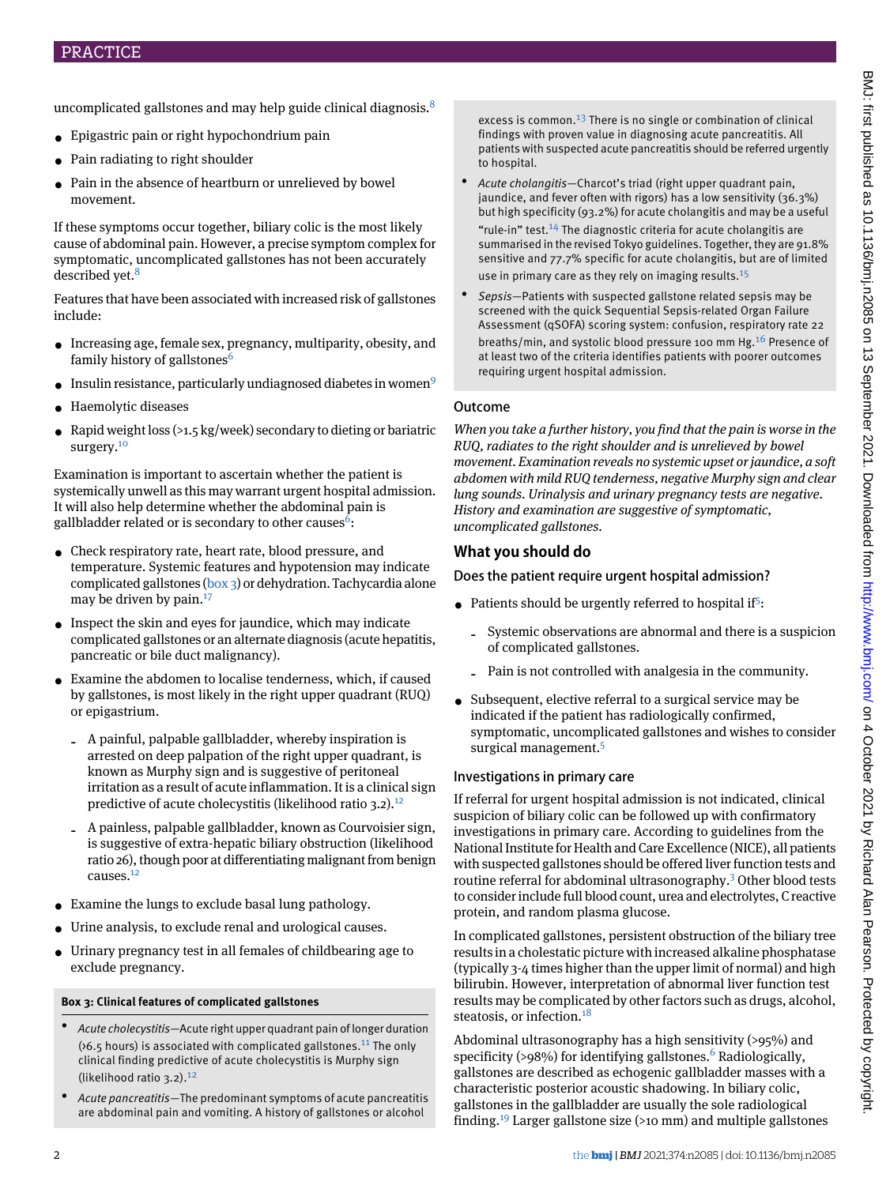- Epigastric pain or right hypochondrium pain
- Pain radiating to right shoulder
- Pain in the absence of heartburn or unrelieved by bowel movement.

If these symptoms occur together, biliary colic is the most likely cause of abdominal pain. However, a precise symptom complex for symptomatic, uncomplicated gallstones has not been accurately described yet.<sup>[8](#page-2-7)</sup>

Features that have been associated with increased risk of gallstones include:

- Increasing age, female sex, pregnancy, multiparity, obesity, and family history of gallstones<sup>[6](#page-2-5)</sup>
- Insulin resistance, particularly undiagnosed diabetes in women<sup>[9](#page-2-8)</sup>
- Haemolytic diseases
- Rapid weight loss (>1.5 kg/week) secondary to dieting or bariatric surgery.<sup>[10](#page-2-9)</sup>

Examination is important to ascertain whether the patient is systemically unwell as this may warrant urgent hospital admission. It will also help determine whether the abdominal pain is gallbladder related or is secondary to other causes<sup>[6](#page-2-5)</sup>:

- Check respiratory rate, heart rate, blood pressure, and temperature. Systemic features and hypotension may indicate complicated gallstones ([box 3](#page-1-0)) or dehydration. Tachycardia alone may be driven by pain. $17$
- Inspect the skin and eyes for jaundice, which may indicate complicated gallstones or an alternate diagnosis (acute hepatitis, pancreatic or bile duct malignancy).
- Examine the abdomen to localise tenderness, which, if caused by gallstones, is most likely in the right upper quadrant (RUQ) or epigastrium.
	- ‐ A painful, palpable gallbladder, whereby inspiration is arrested on deep palpation of the right upper quadrant, is known as Murphy sign and is suggestive of peritoneal irritation as a result of acute inflammation. It is a clinical sign predictive of acute cholecystitis (likelihood ratio 3.2).<sup>[12](#page-2-10)</sup>
	- ‐ A painless, palpable gallbladder, known as Courvoisier sign, is suggestive of extra-hepatic biliary obstruction (likelihood ratio 26), though poor at differentiating malignant from benign causes.[12](#page-2-10)
- <span id="page-1-0"></span>• Examine the lungs to exclude basal lung pathology.
- Urine analysis, to exclude renal and urological causes.
- Urinary pregnancy test in all females of childbearing age to exclude pregnancy.

# **Box 3: Clinical features of complicated gallstones**

- *Acute cholecystitis—*Acute right upper quadrant pain of longer duration ( $56.5$  hours) is associated with complicated gallstones.<sup>[11](#page-2-11)</sup> The only clinical finding predictive of acute cholecystitis is Murphy sign (likelihood ratio 3.2).[12](#page-2-10)
- *Acute pancreatitis—*The predominant symptoms of acute pancreatitis are abdominal pain and vomiting. A history of gallstones or alcohol

excess is common.<sup>[13](#page-2-12)</sup> There is no single or combination of clinical findings with proven value in diagnosing acute pancreatitis. All patients with suspected acute pancreatitis should be referred urgently to hospital.

- *Acute cholangitis—*Charcot's triad (right upper quadrant pain, jaundice, and fever often with rigors) has a low sensitivity (36.3%) but high specificity (93.2%) for acute cholangitis and may be a useful "rule-in" test.<sup>[14](#page-2-13)</sup> The diagnostic criteria for acute cholangitis are summarised in the revised Tokyo guidelines. Together, they are 91.8% sensitive and 77.7% specific for acute cholangitis, but are of limited use in primary care as they rely on imaging results. $15$
- *Sepsis—*Patients with suspected gallstone related sepsis may be screened with the quick Sequential Sepsis-related Organ Failure Assessment (qSOFA) scoring system: confusion, respiratory rate 22 breaths/min, and systolic blood pressure 100 mm Hg.[16](#page-3-2) Presence of at least two of the criteria identifies patients with poorer outcomes requiring urgent hospital admission.

## Outcome

*When you take a further history, you find that the pain is worse in the RUQ, radiates to the right shoulder and is unrelieved by bowel movement. Examination reveals no systemic upset or jaundice, a soft abdomen with mild RUQ tenderness, negative Murphy sign and clear lung sounds. Urinalysis and urinary pregnancy tests are negative. History and examination are suggestive of symptomatic, uncomplicated gallstones.*

## **What you should do**

Does the patient require urgent hospital admission?

- $\bullet~$  Patients should be urgently referred to hospital if<sup>[5](#page-2-4)</sup>:
	- ‐ Systemic observations are abnormal and there is a suspicion of complicated gallstones.
	- ‐ Pain is not controlled with analgesia in the community.
- Subsequent, elective referral to a surgical service may be indicated if the patient has radiologically confirmed, symptomatic, uncomplicated gallstones and wishes to consider surgical management.<sup>[5](#page-2-4)</sup>

## Investigations in primary care

If referral for urgent hospital admission is not indicated, clinical suspicion of biliary colic can be followed up with confirmatory investigations in primary care. According to guidelines from the National Institute for Health and Care Excellence (NICE), all patients with suspected gallstones should be offered liver function tests and routine referral for abdominal ultrasonography.[3](#page-2-2) Other blood tests to consider include full blood count, urea and electrolytes, C reactive protein, and random plasma glucose.

In complicated gallstones, persistent obstruction of the biliary tree results in a cholestatic picture with increased alkaline phosphatase (typically 3-4 times higher than the upper limit of normal) and high bilirubin. However, interpretation of abnormal liver function test results may be complicated by other factors such as drugs, alcohol, steatosis, or infection.<sup>[18](#page-3-3)</sup>

Abdominal ultrasonography has a high sensitivity (>95%) and specificity (>98%) for identifying gallstones.<sup>[6](#page-2-5)</sup> Radiologically, gallstones are described as echogenic gallbladder masses with a characteristic posterior acoustic shadowing. In biliary colic, gallstones in the gallbladder are usually the sole radiological finding.<sup>[19](#page-3-4)</sup> Larger gallstone size ( $>10$  mm) and multiple gallstones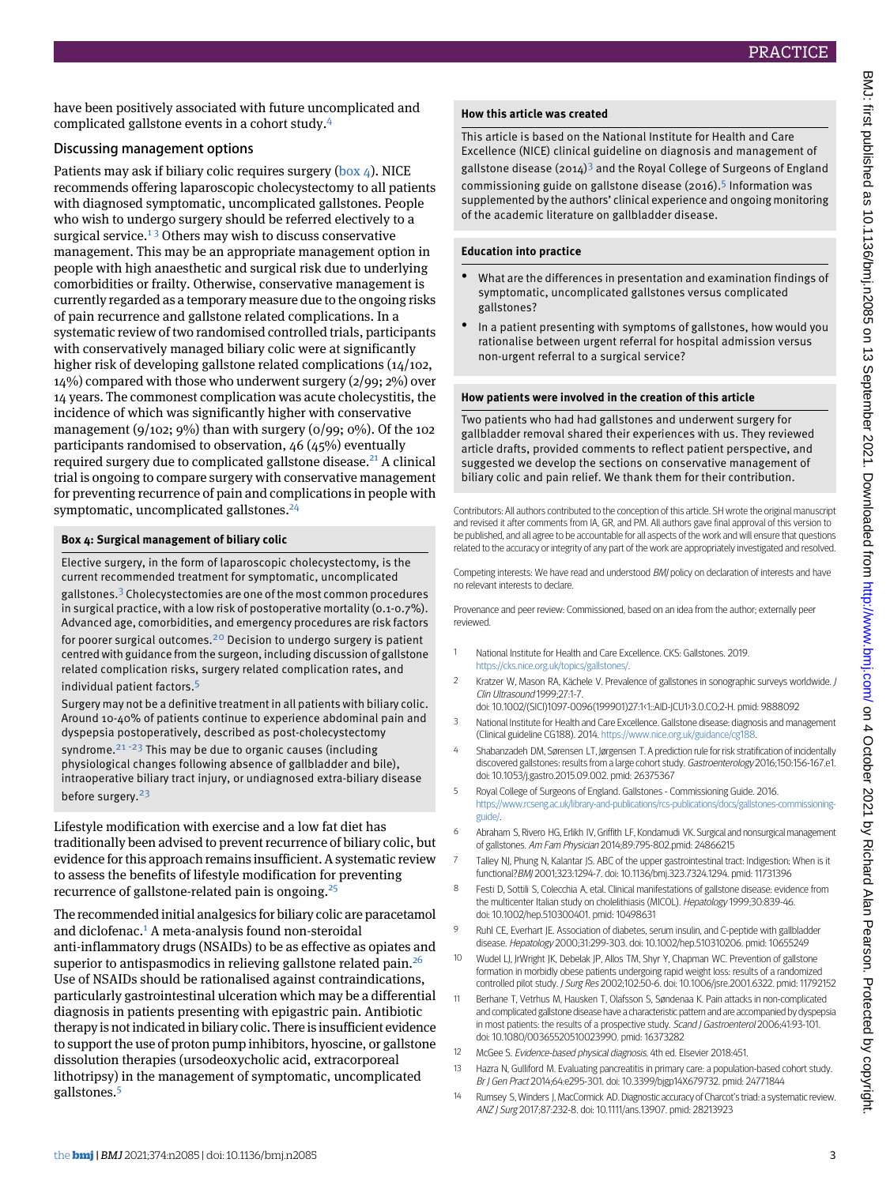have been positively associated with future uncomplicated and complicated gallstone events in a cohort study.[4](#page-2-3)

### Discussing management options

Patients may ask if biliary colic requires surgery ([box 4](#page-2-14)). NICE recommends offering laparoscopic cholecystectomy to all patients with diagnosed symptomatic, uncomplicated gallstones. People who wish to undergo surgery should be referred electively to a surgical service.<sup>[1](#page-2-0)3</sup> Others may wish to discuss conservative management. This may be an appropriate management option in people with high anaesthetic and surgical risk due to underlying comorbidities or frailty. Otherwise, conservative management is currently regarded as a temporary measure due to the ongoing risks of pain recurrence and gallstone related complications. In a systematic review of two randomised controlled trials, participants with conservatively managed biliary colic were at significantly higher risk of developing gallstone related complications (14/102, 14%) compared with those who underwent surgery (2/99; 2%) over 14 years. The commonest complication was acute cholecystitis, the incidence of which was significantly higher with conservative management (9/102; 9%) than with surgery (0/99; 0%). Of the 102 participants randomised to observation, 46 (45%) eventually required surgery due to complicated gallstone disease.<sup>[21](#page-3-5)</sup> A clinical trial is ongoing to compare surgery with conservative management for preventing recurrence of pain and complications in people with symptomatic, uncomplicated gallstones.<sup>[24](#page-3-6)</sup>

### <span id="page-2-14"></span>**Box 4: Surgical management of biliary colic**

Elective surgery, in the form of laparoscopic cholecystectomy, is the current recommended treatment for symptomatic, uncomplicated gallstones.[3](#page-2-2) Cholecystectomies are one of the most common procedures in surgical practice, with a low risk of postoperative mortality (0.1-0.7%). Advanced age, comorbidities, and emergency procedures are risk factors for poorer surgical outcomes.<sup>[20](#page-3-7)</sup> Decision to undergo surgery is patient centred with guidance from the surgeon, including discussion of gallstone related complication risks, surgery related complication rates, and individual patient factors.[5](#page-2-4)

Surgery may not be a definitive treatment in all patients with biliary colic. Around 10-40% of patients continue to experience abdominal pain and dyspepsia postoperatively, described as post-cholecystectomy syndrome. $21 - 23$  $21 - 23$  $21 - 23$  $21 - 23$  This may be due to organic causes (including physiological changes following absence of gallbladder and bile), intraoperative biliary tract injury, or undiagnosed extra-biliary disease before surgery.[23](#page-3-9)

Lifestyle modification with exercise and a low fat diet has traditionally been advised to prevent recurrence of biliary colic, but evidence for this approach remains insufficient. A systematic review to assess the benefits of lifestyle modification for preventing recurrence of gallstone-related pain is ongoing.[25](#page-3-10)

The recommended initial analgesics for biliary colic are paracetamol and diclofenac.<sup>[1](#page-2-0)</sup> A meta-analysis found non-steroidal anti-inflammatory drugs (NSAIDs) to be as effective as opiates and superior to antispasmodics in relieving gallstone related pain.<sup>[26](#page-3-11)</sup> Use of NSAIDs should be rationalised against contraindications, particularly gastrointestinal ulceration which may be a differential diagnosis in patients presenting with epigastric pain. Antibiotic therapy is not indicated in biliary colic. There is insufficient evidence to support the use of proton pump inhibitors, hyoscine, or gallstone dissolution therapies (ursodeoxycholic acid, extracorporeal lithotripsy) in the management of symptomatic, uncomplicated gallstones.[5](#page-2-4)

### **How this article was created**

This article is based on the National Institute for Health and Care Excellence (NICE) clinical guideline on diagnosis and management of gallstone disease (2014)<sup>[3](#page-2-2)</sup> and the Royal College of Surgeons of England commissioning guide on gallstone disease (2016).<sup>[5](#page-2-4)</sup> Information was supplemented by the authors' clinical experience and ongoing monitoring of the academic literature on gallbladder disease.

### **Education into practice**

- What are the differences in presentation and examination findings of symptomatic, uncomplicated gallstones versus complicated gallstones?
- In a patient presenting with symptoms of gallstones, how would you rationalise between urgent referral for hospital admission versus non-urgent referral to a surgical service?

### **How patients were involved in the creation of this article**

Two patients who had had gallstones and underwent surgery for gallbladder removal shared their experiences with us. They reviewed article drafts, provided comments to reflect patient perspective, and suggested we develop the sections on conservative management of biliary colic and pain relief. We thank them for their contribution.

Contributors: All authors contributed to the conception of this article. SH wrote the original manuscript and revised it after comments from IA, GR, and PM. All authors gave final approval of this version to be published, and all agree to be accountable for all aspects of the work and will ensure that questions related to the accuracy or integrity of any part of the work are appropriately investigated and resolved.

<span id="page-2-0"></span>Competing interests: We have read and understood BMJ policy on declaration of interests and have no relevant interests to declare.

<span id="page-2-1"></span>Provenance and peer review: Commissioned, based on an idea from the author; externally peer reviewed.

- <span id="page-2-2"></span>1 National Institute for Health and Care Excellence. CKS: Gallstones. 2019. <https://cks.nice.org.uk/topics/gallstones/>.
- <span id="page-2-3"></span>2 Kratzer W, Mason RA, Kächele V. Prevalence of gallstones in sonographic surveys worldwide. J Clin Ultrasound 1999;27:1-7.
- <span id="page-2-4"></span>doi: 10.1002/(SICI)1097-0096(199901)27:1<1::AID-JCU1>3.0.CO;2-H. pmid: 9888092 3 National Institute for Health and Care Excellence. Gallstone disease: diagnosis and management
- <span id="page-2-5"></span>(Clinical guideline CG188). 2014. <https://www.nice.org.uk/guidance/cg188>.
- <span id="page-2-6"></span>4 Shabanzadeh DM, Sørensen LT, Jørgensen T. A prediction rule for risk stratification of incidentally discovered gallstones: results from a large cohort study. Gastroenterology 2016;150:156-167.e1. doi: 10.1053/j.gastro.2015.09.002. pmid: 26375367
- <span id="page-2-7"></span>5 Royal College of Surgeons of England. Gallstones - Commissioning Guide. 2016. [https://www.rcseng.ac.uk/library-and-publications/rcs-publications/docs/gallstones-commissioning](https://www.rcseng.ac.uk/library-and-publications/rcs-publications/docs/gallstones-commissioning-guide/)[guide/.](https://www.rcseng.ac.uk/library-and-publications/rcs-publications/docs/gallstones-commissioning-guide/)
- <span id="page-2-8"></span>6 Abraham S, Rivero HG, Erlikh IV, Griffith LF, Kondamudi VK. Surgical and nonsurgical management of gallstones. Am Fam Physician 2014;89:795-802.pmid: 24866215
- <span id="page-2-9"></span>7 Talley NJ, Phung N, Kalantar JS. ABC of the upper gastrointestinal tract: Indigestion: When is it functional?BMJ 2001;323:1294-7. doi: 10.1136/bmj.323.7324.1294. pmid: 11731396
- <span id="page-2-11"></span>8 Festi D, Sottili S, Colecchia A, etal. Clinical manifestations of gallstone disease: evidence from the multicenter Italian study on cholelithiasis (MICOL). Hepatology 1999;30:839-46. doi: 10.1002/hep.510300401. pmid: 10498631
- <span id="page-2-10"></span>9 Ruhl CE, Everhart JE. Association of diabetes, serum insulin, and C-peptide with gallbladder disease. Hepatology 2000;31:299-303. doi: 10.1002/hep.510310206. pmid: 10655249
- <span id="page-2-13"></span><span id="page-2-12"></span>10 Wudel LJ, JrWright JK, Debelak JP, Allos TM, Shyr Y, Chapman WC. Prevention of gallstone formation in morbidly obese patients undergoing rapid weight loss: results of a randomized controlled pilot study. J Surg Res 2002;102:50-6. doi: 10.1006/jsre.2001.6322. pmid: 11792152
- 11 Berhane T, Vetrhus M, Hausken T, Olafsson S, Søndenaa K. Pain attacks in non-complicated and complicated gallstone disease have a characteristic pattern and are accompanied by dyspepsia in most patients: the results of a prospective study. Scand J Gastroenterol 2006;41:93-101. doi: 10.1080/00365520510023990. pmid: 16373282
- 12 McGee S. Evidence-based physical diagnosis. 4th ed. Elsevier 2018:451.
- 13 Hazra N, Gulliford M. Evaluating pancreatitis in primary care: a population-based cohort study. Br J Gen Pract 2014;64:e295-301. doi: 10.3399/bjgp14X679732. pmid: 24771844
- 14 Rumsey S, Winders J, MacCormick AD. Diagnostic accuracy of Charcot's triad: a systematic review ANZ J Surg 2017;87:232-8. doi: 10.1111/ans.13907. pmid: 28213923